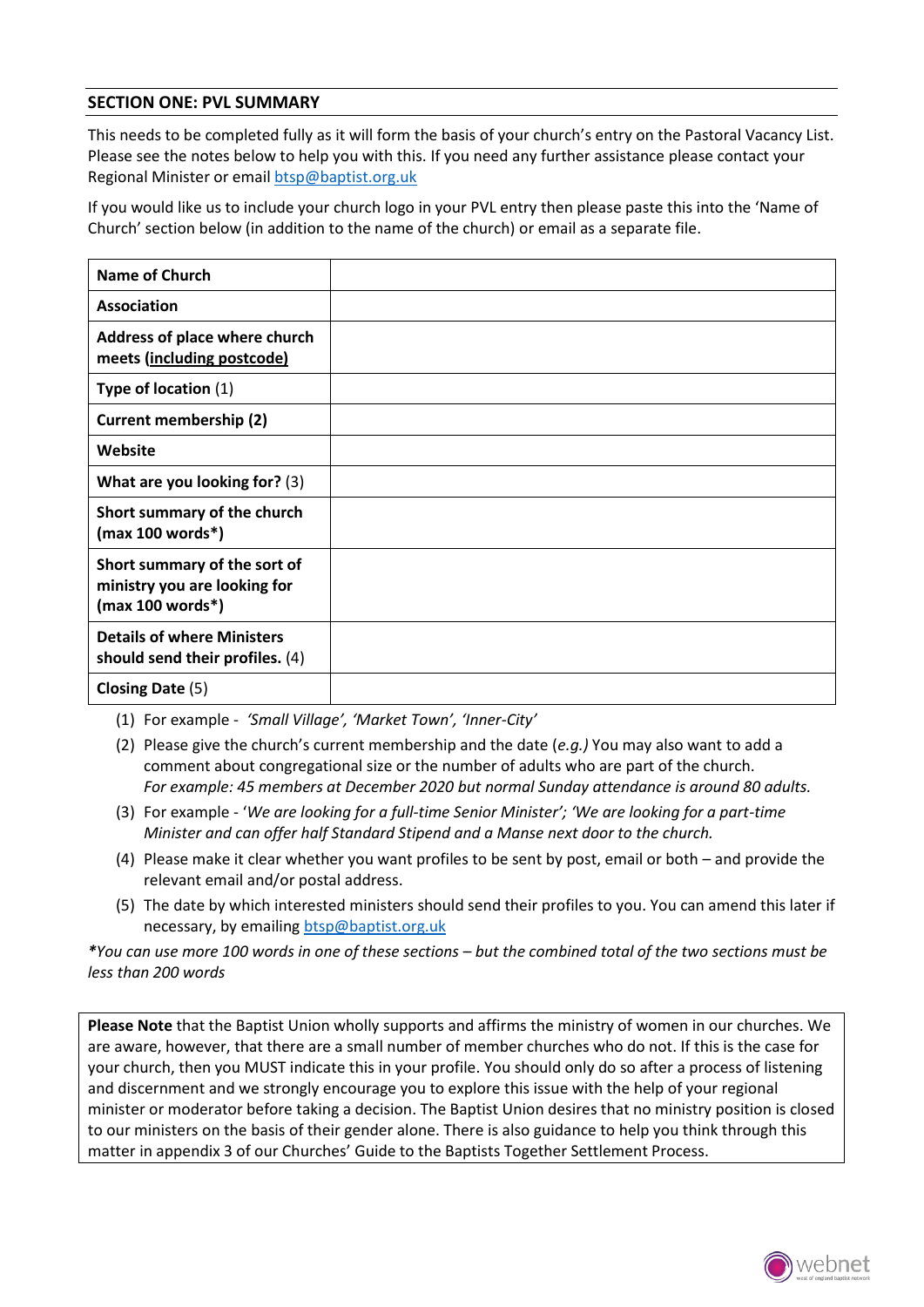## **SECTION ONE: PVL SUMMARY**

This needs to be completed fully as it will form the basis of your church's entry on the Pastoral Vacancy List. Please see the notes below to help you with this. If you need any further assistance please contact your Regional Minister or email [btsp@baptist.org.uk](mailto:btsp@baptist.org.uk)

If you would like us to include your church logo in your PVL entry then please paste this into the 'Name of Church' section below (in addition to the name of the church) or email as a separate file.

| <b>Name of Church</b>                                                              |  |
|------------------------------------------------------------------------------------|--|
| Association                                                                        |  |
| Address of place where church<br>meets (including postcode)                        |  |
| Type of location (1)                                                               |  |
| <b>Current membership (2)</b>                                                      |  |
| Website                                                                            |  |
| What are you looking for? (3)                                                      |  |
| Short summary of the church<br>$(max 100 words*)$                                  |  |
| Short summary of the sort of<br>ministry you are looking for<br>$(max 100 words*)$ |  |
| <b>Details of where Ministers</b><br>should send their profiles. (4)               |  |
| Closing Date (5)                                                                   |  |

(1) For example - *'Small Village', 'Market Town', 'Inner-City'*

- (2) Please give the church's current membership and the date (*e.g.)* You may also want to add a comment about congregational size or the number of adults who are part of the church. *For example: 45 members at December 2020 but normal Sunday attendance is around 80 adults.*
- (3) For example '*We are looking for a full-time Senior Minister'; 'We are looking for a part-time Minister and can offer half Standard Stipend and a Manse next door to the church.*
- (4) Please make it clear whether you want profiles to be sent by post, email or both and provide the relevant email and/or postal address.
- (5) The date by which interested ministers should send their profiles to you. You can amend this later if necessary, by emailing [btsp@baptist.org.uk](mailto:btsp@baptist.org.uk)

*\*You can use more 100 words in one of these sections – but the combined total of the two sections must be less than 200 words*

**Please Note** that the Baptist Union wholly supports and affirms the ministry of women in our churches. We are aware, however, that there are a small number of member churches who do not. If this is the case for your church, then you MUST indicate this in your profile. You should only do so after a process of listening and discernment and we strongly encourage you to explore this issue with the help of your regional minister or moderator before taking a decision. The Baptist Union desires that no ministry position is closed to our ministers on the basis of their gender alone. There is also guidance to help you think through this matter in appendix 3 of our Churches' Guide to the Baptists Together Settlement Process.